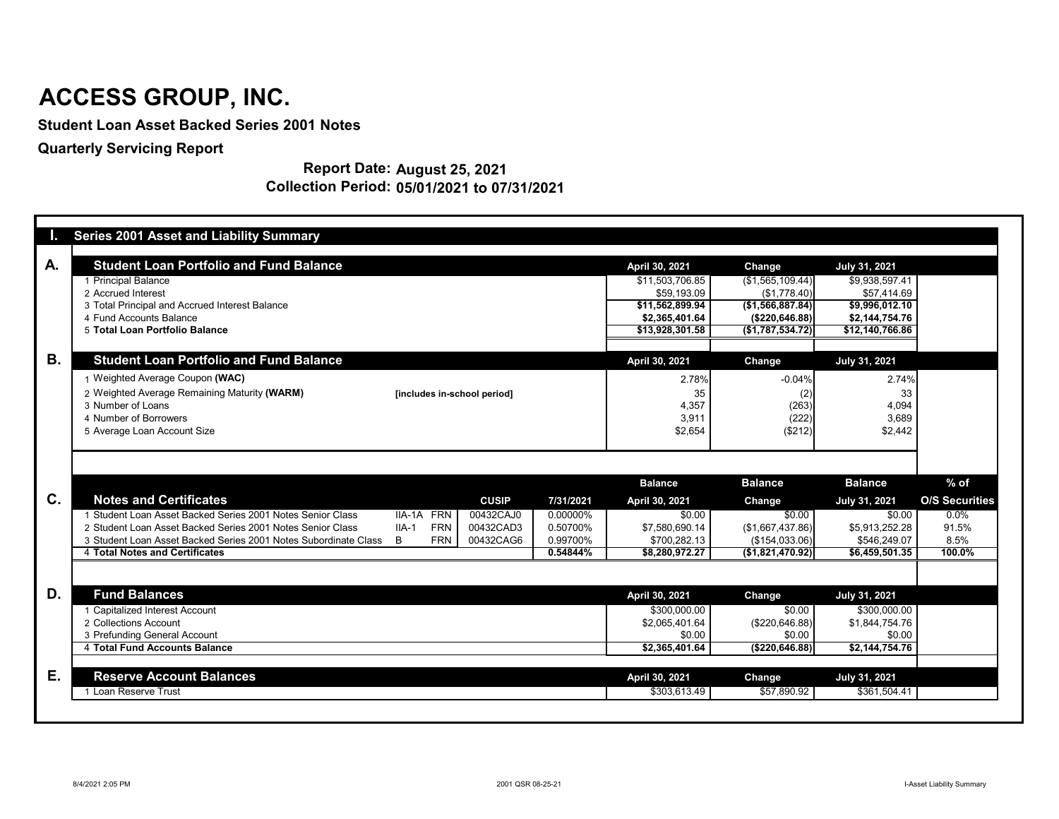|           | <b>Series 2001 Asset and Liability Summary</b>                  |                             |              |           |                 |                   |                             |                       |
|-----------|-----------------------------------------------------------------|-----------------------------|--------------|-----------|-----------------|-------------------|-----------------------------|-----------------------|
| A.        | <b>Student Loan Portfolio and Fund Balance</b>                  |                             |              |           | April 30, 2021  | Change            | <b>July 31, 2021</b>        |                       |
|           | 1 Principal Balance                                             |                             |              |           | \$11,503,706.85 | (\$1,565,109.44)] | \$9,938,597.41              |                       |
|           | 2 Accrued Interest                                              |                             |              |           | \$59,193.09     | (\$1,778.40)      | \$57,414.69                 |                       |
|           | 3 Total Principal and Accrued Interest Balance                  |                             |              |           | \$11,562,899.94 | (\$1,566,887.84)  | \$9,996,012.10              |                       |
|           | 4 Fund Accounts Balance                                         |                             |              |           | \$2,365,401.64  | (\$220, 646.88)   | \$2,144,754.76              |                       |
|           | 5 Total Loan Portfolio Balance                                  |                             |              |           | \$13,928,301.58 | (\$1,787,534.72)] | $\overline{$12,140,766.86}$ |                       |
| <b>B.</b> | <b>Student Loan Portfolio and Fund Balance</b>                  |                             |              |           | April 30, 2021  | <b>Change</b>     | <b>July 31, 2021</b>        |                       |
|           | 1 Weighted Average Coupon (WAC)                                 |                             |              |           | 2.78%           | $-0.04%$          | 2.74%                       |                       |
|           | 2 Weighted Average Remaining Maturity (WARM)                    | [includes in-school period] |              |           | 35              | (2)               | 33                          |                       |
|           | 3 Number of Loans                                               |                             |              |           | 4,357           | (263)             | 4,094                       |                       |
|           | 4 Number of Borrowers                                           |                             |              |           | 3,911           | (222)             | 3,689                       |                       |
|           | 5 Average Loan Account Size                                     |                             |              |           | \$2,654         | (\$212)           | \$2,442                     |                       |
|           |                                                                 |                             |              |           |                 |                   |                             |                       |
|           |                                                                 |                             |              |           |                 |                   |                             |                       |
|           |                                                                 |                             |              |           | <b>Balance</b>  | <b>Balance</b>    | <b>Balance</b>              | $%$ of                |
| C.        | <b>Notes and Certificates</b>                                   |                             | <b>CUSIP</b> | 7/31/2021 | April 30, 2021  | Change            | <b>July 31, 2021</b>        | <b>O/S Securities</b> |
|           | 1 Student Loan Asset Backed Series 2001 Notes Senior Class      | IIA-1A FRN                  | 00432CAJ0    | 0.00000%  | \$0.00          | \$0.00            | \$0.00                      | $0.0\%$               |
|           | 2 Student Loan Asset Backed Series 2001 Notes Senior Class      | <b>FRN</b><br>$IIA-1$       | 00432CAD3    | 0.50700%  | \$7,580,690.14  | (\$1,667,437.86)  | \$5,913,252.28              | 91.5%                 |
|           | 3 Student Loan Asset Backed Series 2001 Notes Subordinate Class | <b>FRN</b><br>B             | 00432CAG6    | 0.99700%  | \$700,282.13    | (\$154,033.06)    | \$546,249.07                | 8.5%                  |
|           | 4 Total Notes and Certificates                                  |                             |              | 0.54844%  | \$8,280,972.27  | ( \$1,821,470.92) | \$6,459,501.35              | 100.0%                |
|           |                                                                 |                             |              |           |                 |                   |                             |                       |
|           | <b>Fund Balances</b>                                            |                             |              |           | April 30, 2021  | <b>Change</b>     | July 31, 2021               |                       |
| D.        |                                                                 |                             |              |           |                 |                   | \$300,000.00                |                       |
|           | 1 Capitalized Interest Account                                  |                             |              |           | \$300,000.00    | \$0.00            |                             |                       |
|           | 2 Collections Account                                           |                             |              |           | \$2,065,401.64  | (\$220,646.88)    | \$1,844,754.76              |                       |
|           | 3 Prefunding General Account                                    |                             |              |           | \$0.00          | \$0.00            | \$0.00                      |                       |
|           | 4 Total Fund Accounts Balance                                   |                             |              |           | \$2,365,401.64  | ( \$220, 646.88)  | \$2,144,754.76              |                       |
| Ε.        | <b>Reserve Account Balances</b>                                 |                             |              |           | April 30, 2021  | <b>Change</b>     | <b>July 31, 2021</b>        |                       |

#### **Report Date: August 25, 2021 Collection Period: 05/01/2021 to 07/31/2021**

# **ACCESS GROUP, INC.**

**Student Loan Asset Backed Series 2001 Notes**

**Quarterly Servicing Report**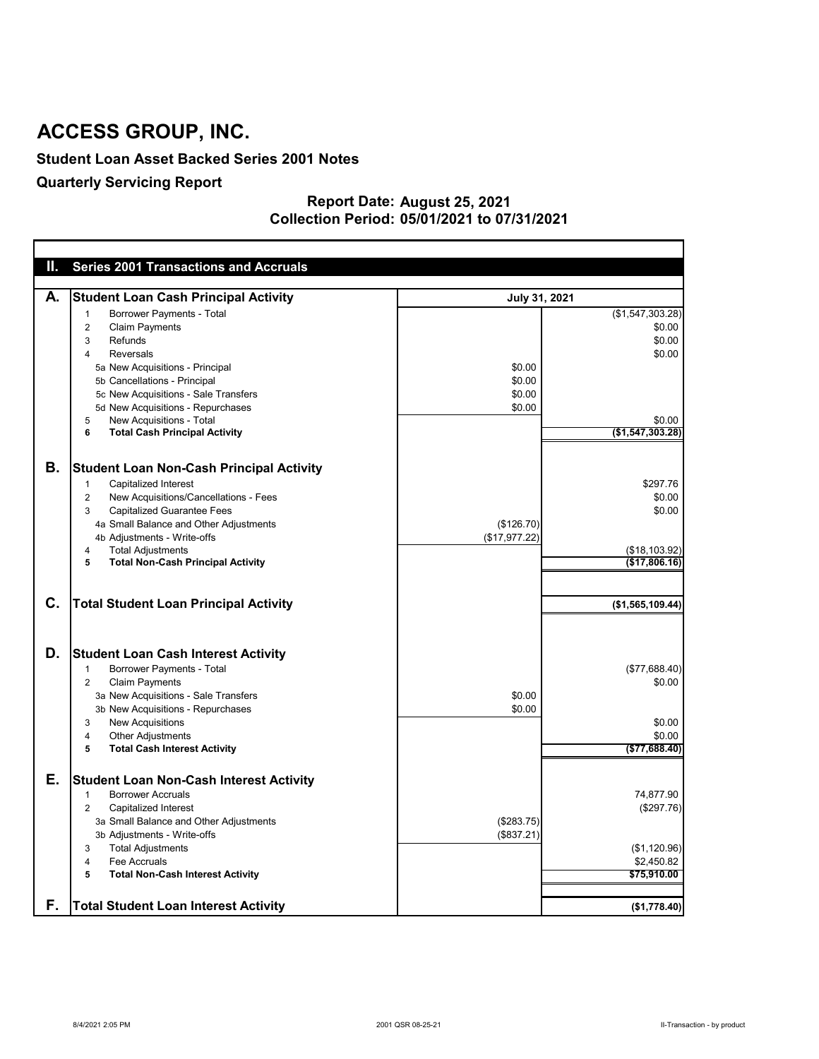#### **Student Loan Asset Backed Series 2001 Notes**

### **Quarterly Servicing Report**

#### **August 25, 2021 05/01/2021 to 07/31/2021 Report Date: Collection Period:**

| Ш. | <b>Series 2001 Transactions and Accruals</b>                |               |                  |
|----|-------------------------------------------------------------|---------------|------------------|
|    |                                                             |               |                  |
| А. | <b>Student Loan Cash Principal Activity</b>                 | July 31, 2021 |                  |
|    | <b>Borrower Payments - Total</b><br>-1                      |               | (\$1,547,303.28) |
|    | <b>Claim Payments</b><br>2                                  |               | \$0.00           |
|    | Refunds<br>3                                                |               | \$0.00           |
|    | <b>Reversals</b><br>4                                       |               | \$0.00           |
|    | 5a New Acquisitions - Principal                             | \$0.00        |                  |
|    | 5b Cancellations - Principal                                | \$0.00        |                  |
|    | 5c New Acquisitions - Sale Transfers                        | \$0.00        |                  |
|    | 5d New Acquisitions - Repurchases                           | \$0.00        |                  |
|    | New Acquisitions - Total<br>5                               |               | \$0.00           |
|    | <b>Total Cash Principal Activity</b><br>6                   |               | (\$1,547,303.28) |
|    |                                                             |               |                  |
|    |                                                             |               |                  |
| Β. | <b>Student Loan Non-Cash Principal Activity</b>             |               |                  |
|    | <b>Capitalized Interest</b><br>1                            |               | \$297.76         |
|    | New Acquisitions/Cancellations - Fees<br>$\overline{c}$     |               | \$0.00           |
|    | <b>Capitalized Guarantee Fees</b><br>3                      |               | \$0.00           |
|    | 4a Small Balance and Other Adjustments                      | (\$126.70)    |                  |
|    | 4b Adjustments - Write-offs                                 | (\$17,977.22) |                  |
|    | <b>Total Adjustments</b><br>4                               |               | (\$18,103.92)    |
|    | <b>Total Non-Cash Principal Activity</b><br>$5\phantom{.0}$ |               | (\$17,806.16)    |
|    |                                                             |               |                  |
|    |                                                             |               |                  |
| C. | <b>Total Student Loan Principal Activity</b>                |               | (\$1,565,109.44) |
|    |                                                             |               |                  |
|    |                                                             |               |                  |
|    |                                                             |               |                  |
| D. | <b>Student Loan Cash Interest Activity</b>                  |               |                  |
|    | <b>Borrower Payments - Total</b><br>1                       |               | (\$77,688.40)    |
|    | <b>Claim Payments</b><br>$\overline{2}$                     |               | \$0.00           |
|    | 3a New Acquisitions - Sale Transfers                        | \$0.00        |                  |
|    | 3b New Acquisitions - Repurchases                           | \$0.00        |                  |
|    | <b>New Acquisitions</b><br>3                                |               | \$0.00           |
|    | <b>Other Adjustments</b><br>4                               |               | \$0.00           |
|    | <b>Total Cash Interest Activity</b><br>5                    |               | ( \$77,688.40)   |
|    |                                                             |               |                  |
| Е. | <b>Student Loan Non-Cash Interest Activity</b>              |               |                  |
|    | <b>Borrower Accruals</b><br>-1                              |               | 74,877.90        |
|    | <b>Capitalized Interest</b><br>$\overline{2}$               |               | (\$297.76)       |
|    | 3a Small Balance and Other Adjustments                      | (\$283.75)    |                  |
|    | 3b Adjustments - Write-offs                                 | (\$837.21)    |                  |
|    | <b>Total Adjustments</b><br>3                               |               | (\$1,120.96)     |
|    | Fee Accruals<br>4                                           |               | \$2,450.82       |
|    | <b>Total Non-Cash Interest Activity</b><br>5                |               | \$75,910.00      |
|    |                                                             |               |                  |
| F. | <b>Total Student Loan Interest Activity</b>                 |               |                  |
|    |                                                             |               | (\$1,778.40)     |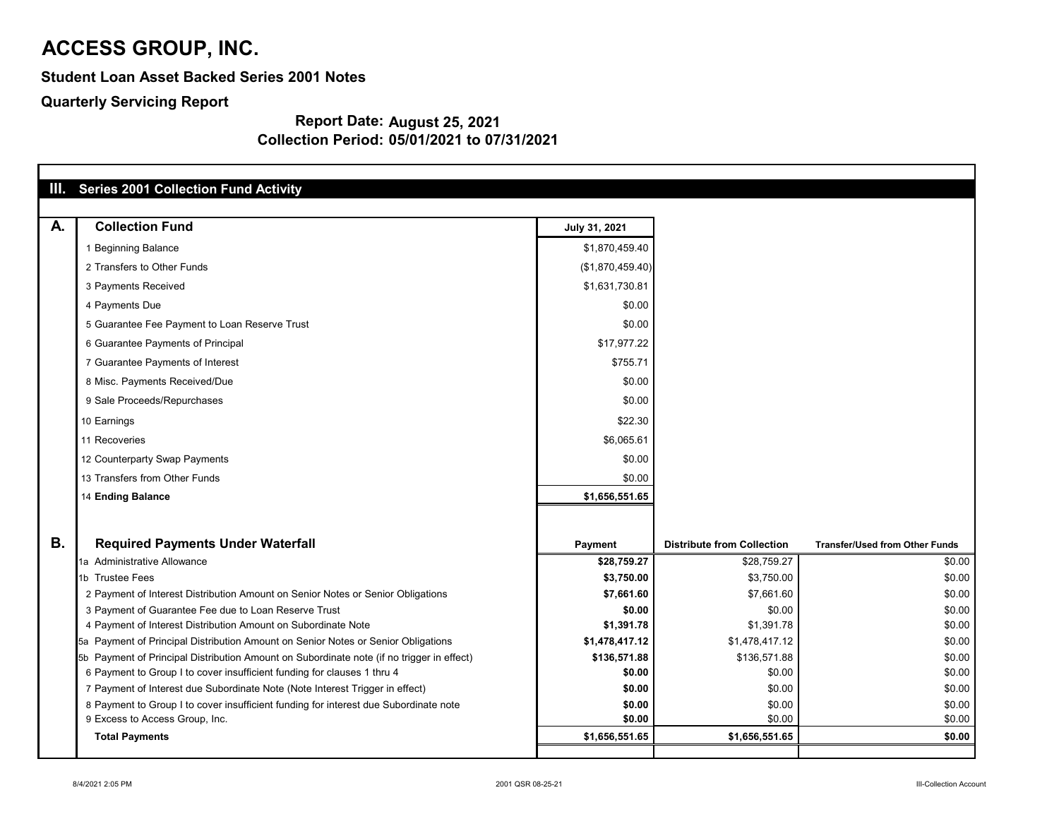**Student Loan Asset Backed Series 2001 Notes**

**Quarterly Servicing Report**

| Ш.        | <b>Series 2001 Collection Fund Activity</b>                                               |                  |                                   |                                       |
|-----------|-------------------------------------------------------------------------------------------|------------------|-----------------------------------|---------------------------------------|
| A.        | <b>Collection Fund</b>                                                                    | July 31, 2021    |                                   |                                       |
|           | 1 Beginning Balance                                                                       | \$1,870,459.40   |                                   |                                       |
|           | 2 Transfers to Other Funds                                                                | (\$1,870,459.40) |                                   |                                       |
|           | 3 Payments Received                                                                       | \$1,631,730.81   |                                   |                                       |
|           | 4 Payments Due                                                                            | \$0.00           |                                   |                                       |
|           | 5 Guarantee Fee Payment to Loan Reserve Trust                                             | \$0.00           |                                   |                                       |
|           | 6 Guarantee Payments of Principal                                                         | \$17,977.22      |                                   |                                       |
|           | 7 Guarantee Payments of Interest                                                          | \$755.71         |                                   |                                       |
|           | 8 Misc. Payments Received/Due                                                             | \$0.00           |                                   |                                       |
|           | 9 Sale Proceeds/Repurchases                                                               | \$0.00           |                                   |                                       |
|           | 10 Earnings                                                                               | \$22.30          |                                   |                                       |
|           | 11 Recoveries                                                                             | \$6,065.61       |                                   |                                       |
|           | 12 Counterparty Swap Payments                                                             | \$0.00           |                                   |                                       |
|           | 13 Transfers from Other Funds                                                             | \$0.00           |                                   |                                       |
|           | <b>14 Ending Balance</b>                                                                  | \$1,656,551.65   |                                   |                                       |
|           |                                                                                           |                  |                                   |                                       |
| <b>B.</b> | <b>Required Payments Under Waterfall</b>                                                  | <b>Payment</b>   | <b>Distribute from Collection</b> | <b>Transfer/Used from Other Funds</b> |
|           | 1a Administrative Allowance                                                               | \$28,759.27      | \$28,759.27                       | \$0.00                                |
|           | 1b Trustee Fees                                                                           | \$3,750.00       | \$3,750.00                        | \$0.00                                |
|           | 2 Payment of Interest Distribution Amount on Senior Notes or Senior Obligations           | \$7,661.60       | \$7,661.60                        | \$0.00                                |
|           | 3 Payment of Guarantee Fee due to Loan Reserve Trust                                      | \$0.00           | \$0.00                            | \$0.00                                |
|           | 4 Payment of Interest Distribution Amount on Subordinate Note                             | \$1,391.78       | \$1,391.78                        | \$0.00                                |
|           | 5a Payment of Principal Distribution Amount on Senior Notes or Senior Obligations         | \$1,478,417.12   | \$1,478,417.12                    | \$0.00                                |
|           | 5b Payment of Principal Distribution Amount on Subordinate note (if no trigger in effect) | \$136,571.88     | \$136,571.88                      | \$0.00                                |
|           | 6 Payment to Group I to cover insufficient funding for clauses 1 thru 4                   | \$0.00           | \$0.00                            | \$0.00                                |
|           | 7 Payment of Interest due Subordinate Note (Note Interest Trigger in effect)              | \$0.00           | \$0.00                            | \$0.00                                |
|           | 8 Payment to Group I to cover insufficient funding for interest due Subordinate note      | \$0.00           | \$0.00                            | \$0.00                                |
|           | 9 Excess to Access Group, Inc.                                                            | \$0.00           | \$0.00                            | \$0.00                                |
|           | <b>Total Payments</b>                                                                     | \$1,656,551.65   | \$1,656,551.65                    | \$0.00                                |
|           |                                                                                           |                  |                                   |                                       |

| nsfer/Used from Other Funds |                  |
|-----------------------------|------------------|
|                             | \$0.00           |
|                             | \$0.00           |
|                             | \$0.00           |
|                             | \$0.00           |
|                             | \$0.00           |
|                             | \$0.00           |
|                             | \$0.00           |
|                             | \$0.00           |
|                             | \$0.00           |
|                             | \$0.00<br>\$0.00 |
|                             | \$0.00           |
|                             |                  |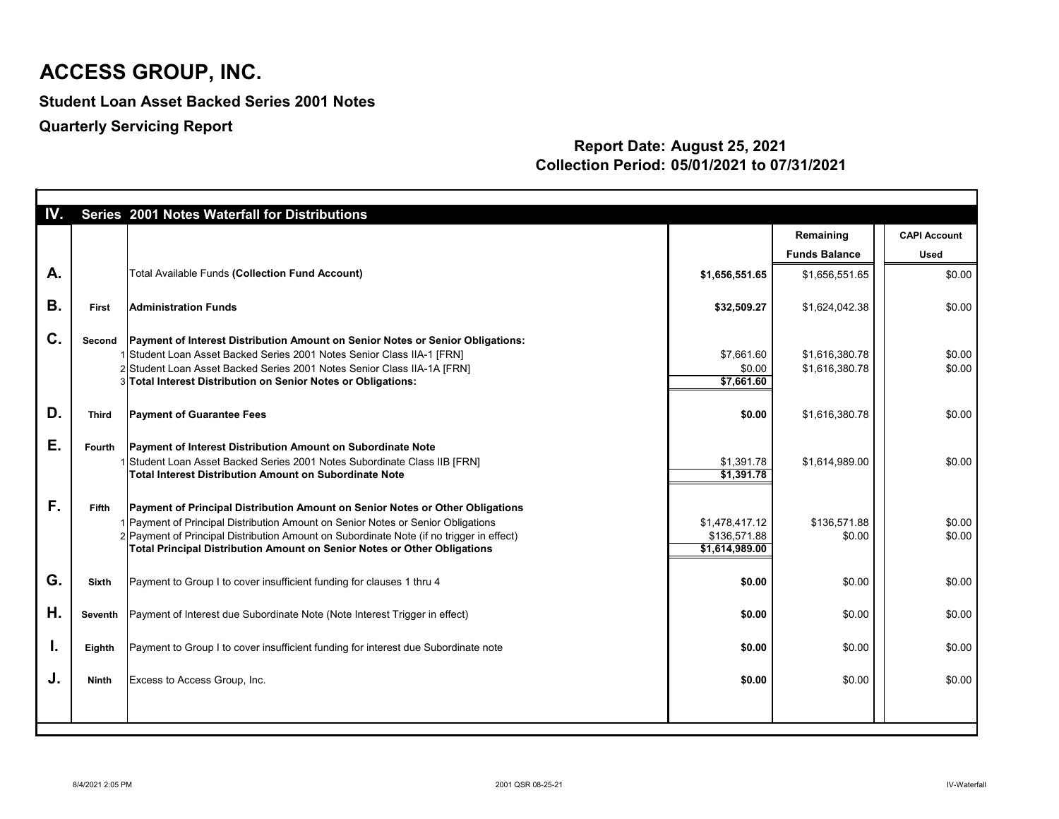**Student Loan Asset Backed Series 2001 Notes**

**Quarterly Servicing Report**

| IV.       |               | Series 2001 Notes Waterfall for Distributions                                                                                                                                                                                                                                                                                                    |                                                  |                                   |                                    |
|-----------|---------------|--------------------------------------------------------------------------------------------------------------------------------------------------------------------------------------------------------------------------------------------------------------------------------------------------------------------------------------------------|--------------------------------------------------|-----------------------------------|------------------------------------|
|           |               |                                                                                                                                                                                                                                                                                                                                                  |                                                  | Remaining<br><b>Funds Balance</b> | <b>CAPI Account</b><br><b>Used</b> |
|           |               |                                                                                                                                                                                                                                                                                                                                                  |                                                  |                                   |                                    |
| A.        |               | <b>Total Available Funds (Collection Fund Account)</b>                                                                                                                                                                                                                                                                                           | \$1,656,551.65                                   | \$1,656,551.65                    | \$0.00                             |
| <b>B.</b> | <b>First</b>  | <b>Administration Funds</b>                                                                                                                                                                                                                                                                                                                      | \$32,509.27                                      | \$1,624,042.38                    | \$0.00                             |
| C.        | Second        | Payment of Interest Distribution Amount on Senior Notes or Senior Obligations:                                                                                                                                                                                                                                                                   |                                                  |                                   |                                    |
|           |               | 1 Student Loan Asset Backed Series 2001 Notes Senior Class IIA-1 [FRN]                                                                                                                                                                                                                                                                           | \$7,661.60                                       | \$1,616,380.78                    | \$0.00                             |
|           |               | 2 Student Loan Asset Backed Series 2001 Notes Senior Class IIA-1A [FRN]                                                                                                                                                                                                                                                                          | \$0.00                                           | \$1,616,380.78                    | \$0.00                             |
|           |               | 3 Total Interest Distribution on Senior Notes or Obligations:                                                                                                                                                                                                                                                                                    | \$7,661.60                                       |                                   |                                    |
| D.        | <b>Third</b>  | <b>Payment of Guarantee Fees</b>                                                                                                                                                                                                                                                                                                                 | \$0.00                                           | \$1,616,380.78                    | \$0.00                             |
|           |               |                                                                                                                                                                                                                                                                                                                                                  |                                                  |                                   |                                    |
| Ε.        | <b>Fourth</b> | <b>Payment of Interest Distribution Amount on Subordinate Note</b>                                                                                                                                                                                                                                                                               |                                                  |                                   |                                    |
|           |               | 1 Student Loan Asset Backed Series 2001 Notes Subordinate Class IIB [FRN]                                                                                                                                                                                                                                                                        | \$1,391.78                                       | \$1,614,989.00                    | \$0.00                             |
|           |               | Total Interest Distribution Amount on Subordinate Note                                                                                                                                                                                                                                                                                           | \$1,391.78                                       |                                   |                                    |
| F.        | <b>Fifth</b>  | <b>Payment of Principal Distribution Amount on Senior Notes or Other Obligations</b><br>1 Payment of Principal Distribution Amount on Senior Notes or Senior Obligations<br>2 Payment of Principal Distribution Amount on Subordinate Note (if no trigger in effect)<br>Total Principal Distribution Amount on Senior Notes or Other Obligations | \$1,478,417.12<br>\$136,571.88<br>\$1,614,989.00 | \$136,571.88<br>\$0.00            | \$0.00<br>\$0.00                   |
|           |               |                                                                                                                                                                                                                                                                                                                                                  |                                                  |                                   |                                    |
| G.        | <b>Sixth</b>  | Payment to Group I to cover insufficient funding for clauses 1 thru 4                                                                                                                                                                                                                                                                            | \$0.00                                           | \$0.00                            | \$0.00                             |
| Η.        |               | Seventh   Payment of Interest due Subordinate Note (Note Interest Trigger in effect)                                                                                                                                                                                                                                                             | \$0.00                                           | \$0.00                            | \$0.00                             |
|           |               |                                                                                                                                                                                                                                                                                                                                                  |                                                  |                                   |                                    |
| I.        | Eighth        | Payment to Group I to cover insufficient funding for interest due Subordinate note                                                                                                                                                                                                                                                               | \$0.00                                           | \$0.00                            | \$0.00                             |
|           |               |                                                                                                                                                                                                                                                                                                                                                  |                                                  |                                   |                                    |
| J.        | <b>Ninth</b>  | Excess to Access Group, Inc.                                                                                                                                                                                                                                                                                                                     | \$0.00                                           | \$0.00                            | \$0.00                             |
|           |               |                                                                                                                                                                                                                                                                                                                                                  |                                                  |                                   |                                    |
|           |               |                                                                                                                                                                                                                                                                                                                                                  |                                                  |                                   |                                    |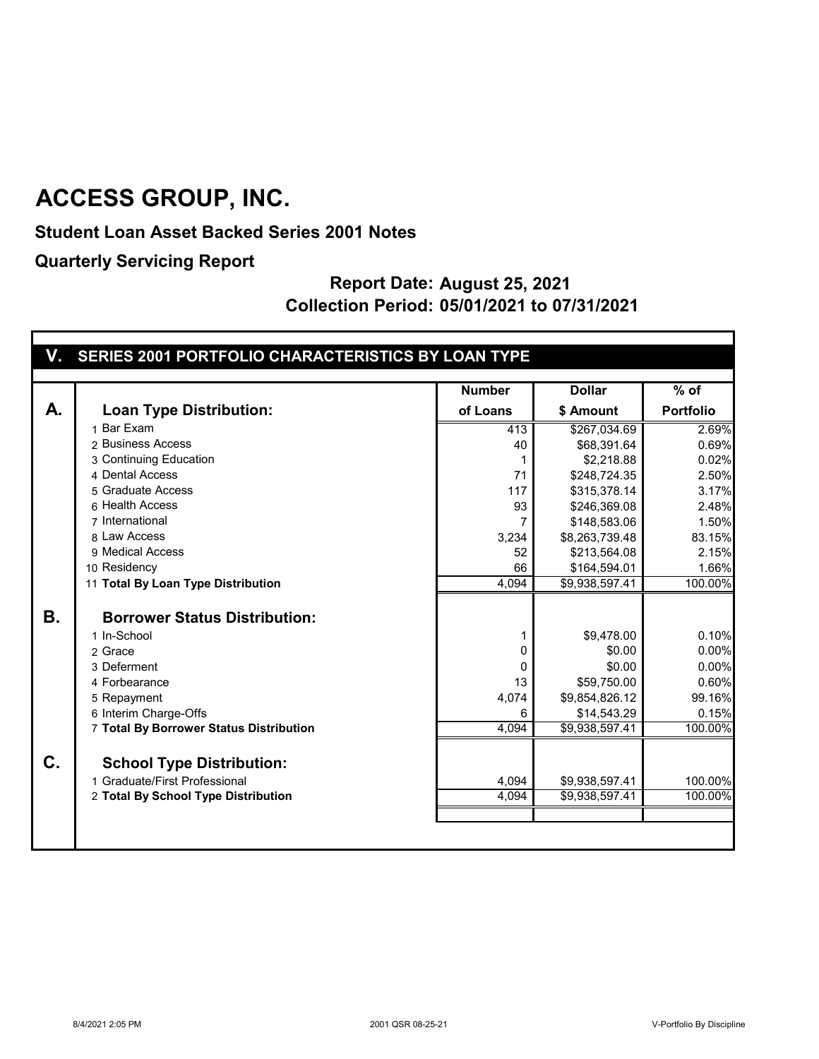**Student Loan Asset Backed Series 2001 Notes**

**Quarterly Servicing Report**

|           |                                         | <b>Number</b> | <b>Dollar</b>  | $%$ of           |
|-----------|-----------------------------------------|---------------|----------------|------------------|
| А.        | <b>Loan Type Distribution:</b>          | of Loans      | \$ Amount      | <b>Portfolio</b> |
|           | 1 Bar Exam                              | 413           | \$267,034.69   | 2.69%            |
|           | 2 Business Access                       | 40            | \$68,391.64    | 0.69%            |
|           | 3 Continuing Education                  |               | \$2,218.88     | 0.02%            |
|           | 4 Dental Access                         | 71            | \$248,724.35   | 2.50%            |
|           | 5 Graduate Access                       | 117           | \$315,378.14   | 3.17%            |
|           | 6 Health Access                         | 93            | \$246,369.08   | 2.48%            |
|           | 7 International                         | 7             | \$148,583.06   | 1.50%            |
|           | 8 Law Access                            | 3,234         | \$8,263,739.48 | 83.15%           |
|           | 9 Medical Access                        | 52            | \$213,564.08   | 2.15%            |
|           | 10 Residency                            | 66            | \$164,594.01   | 1.66%            |
|           | 11 Total By Loan Type Distribution      | 4,094         | \$9,938,597.41 | 100.00%          |
|           |                                         |               |                |                  |
| <b>B.</b> | <b>Borrower Status Distribution:</b>    |               |                |                  |
|           | 1 In-School                             |               | \$9,478.00     | 0.10%            |
|           | 2 Grace                                 | 0             | \$0.00         | 0.00%            |
|           | 3 Deferment                             | 0             | \$0.00         | 0.00%            |
|           | 4 Forbearance                           | 13            | \$59,750.00    | 0.60%            |
|           | 5 Repayment                             | 4,074         | \$9,854,826.12 | 99.16%           |
|           | 6 Interim Charge-Offs                   | 6             | \$14,543.29    | 0.15%            |
|           | 7 Total By Borrower Status Distribution | 4,094         | \$9,938,597.41 | 100.00%          |
| C.        |                                         |               |                |                  |
|           | <b>School Type Distribution:</b>        |               |                |                  |
|           | 1 Graduate/First Professional           | 4,094         | \$9,938,597.41 | 100.00%          |
|           | 2 Total By School Type Distribution     | 4,094         | \$9,938,597.41 | 100.00%          |
|           |                                         |               |                |                  |
|           |                                         |               |                |                  |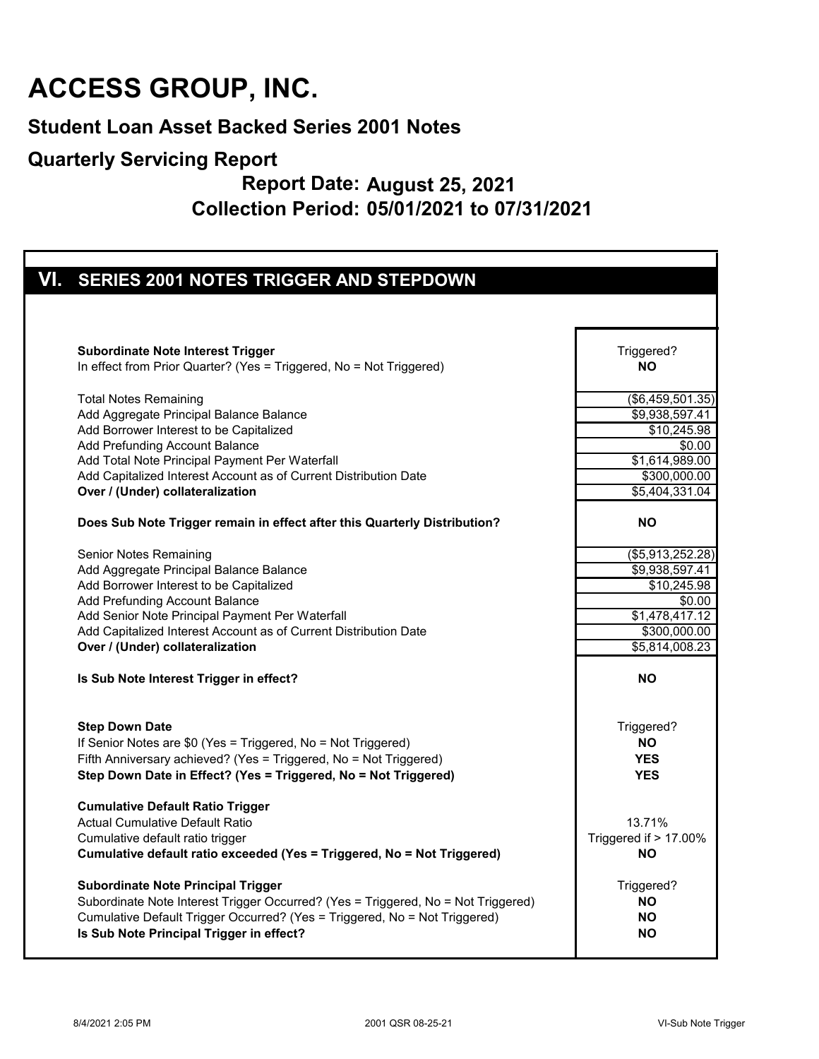#### **Student Loan Asset Backed Series 2001 Notes**

#### **Quarterly Servicing Report**

| VI. SERIES 2001 NOTES TRIGGER AND STEPDOWN                                        |                               |
|-----------------------------------------------------------------------------------|-------------------------------|
|                                                                                   |                               |
|                                                                                   |                               |
|                                                                                   |                               |
| <b>Subordinate Note Interest Trigger</b>                                          | Triggered?                    |
| In effect from Prior Quarter? (Yes = Triggered, No = Not Triggered)               | <b>NO</b>                     |
|                                                                                   |                               |
| <b>Total Notes Remaining</b>                                                      | $\overline{(\$6,459,501.35)}$ |
| Add Aggregate Principal Balance Balance                                           | \$9,938,597.41                |
| Add Borrower Interest to be Capitalized                                           | \$10,245.98                   |
| Add Prefunding Account Balance                                                    | \$0.00                        |
| Add Total Note Principal Payment Per Waterfall                                    | \$1,614,989.00                |
| Add Capitalized Interest Account as of Current Distribution Date                  | \$300,000.00                  |
| Over / (Under) collateralization                                                  | \$5,404,331.04                |
|                                                                                   |                               |
| Does Sub Note Trigger remain in effect after this Quarterly Distribution?         | <b>NO</b>                     |
| <b>Senior Notes Remaining</b>                                                     | $\overline{(\$5,913,252.28)}$ |
| Add Aggregate Principal Balance Balance                                           | \$9,938,597.41                |
| Add Borrower Interest to be Capitalized                                           | \$10,245.98                   |
| Add Prefunding Account Balance                                                    | \$0.00                        |
| Add Senior Note Principal Payment Per Waterfall                                   | \$1,478,417.12                |
| Add Capitalized Interest Account as of Current Distribution Date                  | $\frac{1}{2}300,000.00$       |
| Over / (Under) collateralization                                                  | \$5,814,008.23                |
| Is Sub Note Interest Trigger in effect?                                           | <b>NO</b>                     |
| <b>Step Down Date</b>                                                             | Triggered?                    |
| If Senior Notes are \$0 (Yes = Triggered, No = Not Triggered)                     | <b>NO</b>                     |
| Fifth Anniversary achieved? (Yes = Triggered, No = Not Triggered)                 | <b>YES</b>                    |
| Step Down Date in Effect? (Yes = Triggered, No = Not Triggered)                   | <b>YES</b>                    |
| <b>Cumulative Default Ratio Trigger</b>                                           |                               |
| <b>Actual Cumulative Default Ratio</b>                                            | 13.71%                        |
| Cumulative default ratio trigger                                                  | Triggered if > 17.00%         |
| Cumulative default ratio exceeded (Yes = Triggered, No = Not Triggered)           | <b>NO</b>                     |
| <b>Subordinate Note Principal Trigger</b>                                         | Triggered?                    |
| Subordinate Note Interest Trigger Occurred? (Yes = Triggered, No = Not Triggered) | <b>NO</b>                     |
| Cumulative Default Trigger Occurred? (Yes = Triggered, No = Not Triggered)        | <b>NO</b>                     |
| Is Sub Note Principal Trigger in effect?                                          | <b>NO</b>                     |
|                                                                                   |                               |
|                                                                                   |                               |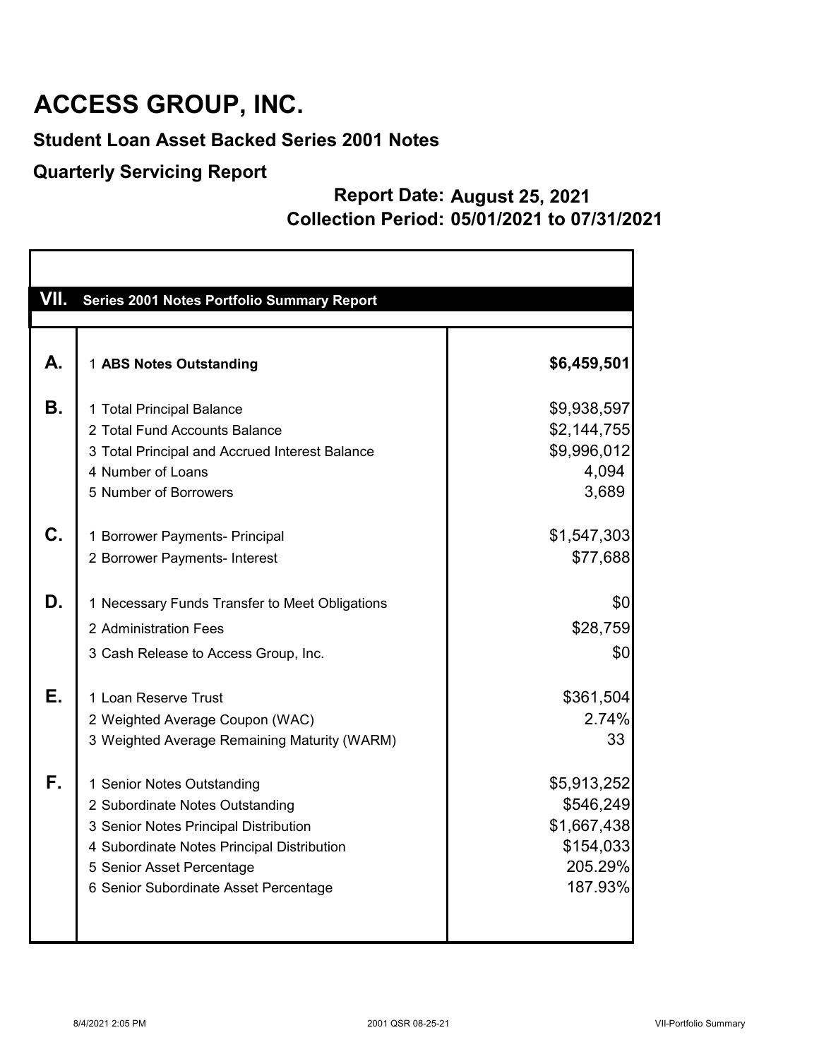#### **Student Loan Asset Backed Series 2001 Notes**

#### **Quarterly Servicing Report**

| VII. | Series 2001 Notes Portfolio Summary Report                                                                                                                                                                                 |                                                                            |
|------|----------------------------------------------------------------------------------------------------------------------------------------------------------------------------------------------------------------------------|----------------------------------------------------------------------------|
|      |                                                                                                                                                                                                                            |                                                                            |
| А.   | 1 ABS Notes Outstanding                                                                                                                                                                                                    | \$6,459,501                                                                |
| В.   | 1 Total Principal Balance<br>2 Total Fund Accounts Balance<br>3 Total Principal and Accrued Interest Balance<br>4 Number of Loans                                                                                          | \$9,938,597<br>\$2,144,755<br>\$9,996,012<br>4,094                         |
|      | 5 Number of Borrowers                                                                                                                                                                                                      | 3,689                                                                      |
| C.   | 1 Borrower Payments- Principal<br>2 Borrower Payments- Interest                                                                                                                                                            | \$1,547,303<br>\$77,688                                                    |
| D.   | 1 Necessary Funds Transfer to Meet Obligations                                                                                                                                                                             | \$0                                                                        |
|      | 2 Administration Fees                                                                                                                                                                                                      | \$28,759                                                                   |
|      | 3 Cash Release to Access Group, Inc.                                                                                                                                                                                       | \$0                                                                        |
| Е.   | 1 Loan Reserve Trust<br>2 Weighted Average Coupon (WAC)<br>3 Weighted Average Remaining Maturity (WARM)                                                                                                                    | \$361,504<br>2.74%<br>33                                                   |
| F.   | 1 Senior Notes Outstanding<br>2 Subordinate Notes Outstanding<br>3 Senior Notes Principal Distribution<br>4 Subordinate Notes Principal Distribution<br>5 Senior Asset Percentage<br>6 Senior Subordinate Asset Percentage | \$5,913,252<br>\$546,249<br>\$1,667,438<br>\$154,033<br>205.29%<br>187.93% |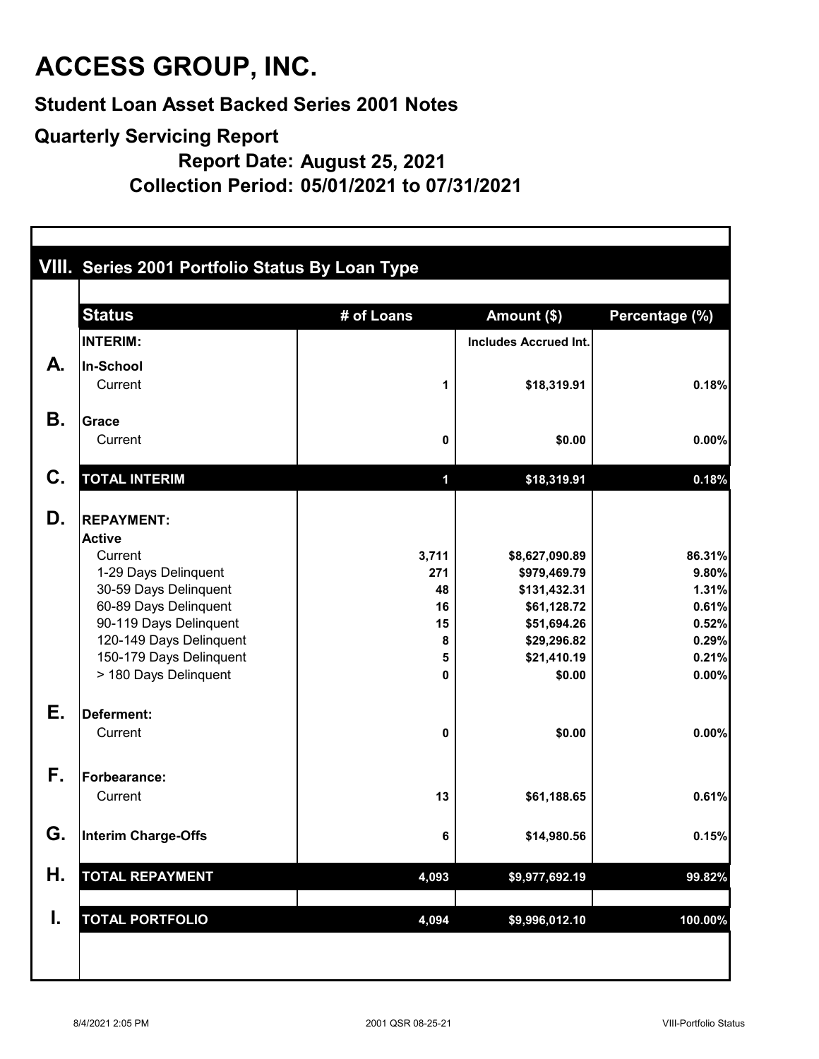**Student Loan Asset Backed Series 2001 Notes**

#### **Quarterly Servicing Report**

**Report Date: August 25, 2021**

**Collection Period: 05/01/2021 to 07/31/2021**

|           | <b>Status</b>                                     | # of Loans  | Amount (\$)                  | Percentage (%) |
|-----------|---------------------------------------------------|-------------|------------------------------|----------------|
|           | <b>INTERIM:</b>                                   |             | <b>Includes Accrued Int.</b> |                |
| А.        | In-School                                         |             |                              |                |
|           | Current                                           | 1           | \$18,319.91                  | 0.18%          |
| <b>B.</b> | <b>Grace</b>                                      |             |                              |                |
|           | Current                                           | 0           | \$0.00                       | 0.00%          |
| C.        | <b>TOTAL INTERIM</b>                              | $\mathbf 1$ | \$18,319.91                  | 0.18%          |
| D.        | <b>REPAYMENT:</b>                                 |             |                              |                |
|           | <b>Active</b>                                     |             |                              |                |
|           | Current                                           | 3,711       | \$8,627,090.89               | 86.31%         |
|           | 1-29 Days Delinquent                              | 271         | \$979,469.79                 | 9.80%          |
|           | 30-59 Days Delinquent                             | 48          | \$131,432.31                 | 1.31%          |
|           | 60-89 Days Delinquent                             | 16          | \$61,128.72                  | 0.61%          |
|           | 90-119 Days Delinquent<br>120-149 Days Delinquent | 15<br>8     | \$51,694.26<br>\$29,296.82   | 0.52%<br>0.29% |
|           | 150-179 Days Delinquent                           | 5           | \$21,410.19                  | 0.21%          |
|           | > 180 Days Delinquent                             | 0           | \$0.00                       | 0.00%          |
| Е.        | Deferment:                                        |             |                              |                |
|           | Current                                           | 0           | \$0.00                       | 0.00%          |
| F.        | Forbearance:                                      |             |                              |                |
|           | Current                                           | 13          | \$61,188.65                  | 0.61%          |
| G.        | Interim Charge-Offs                               | 6           | \$14,980.56                  | 0.15%          |
| Η.        | <b>TOTAL REPAYMENT</b>                            | 4,093       | \$9,977,692.19               | 99.82%         |
| I.        | <b>TOTAL PORTFOLIO</b>                            | 4,094       | \$9,996,012.10               | 100.00%        |